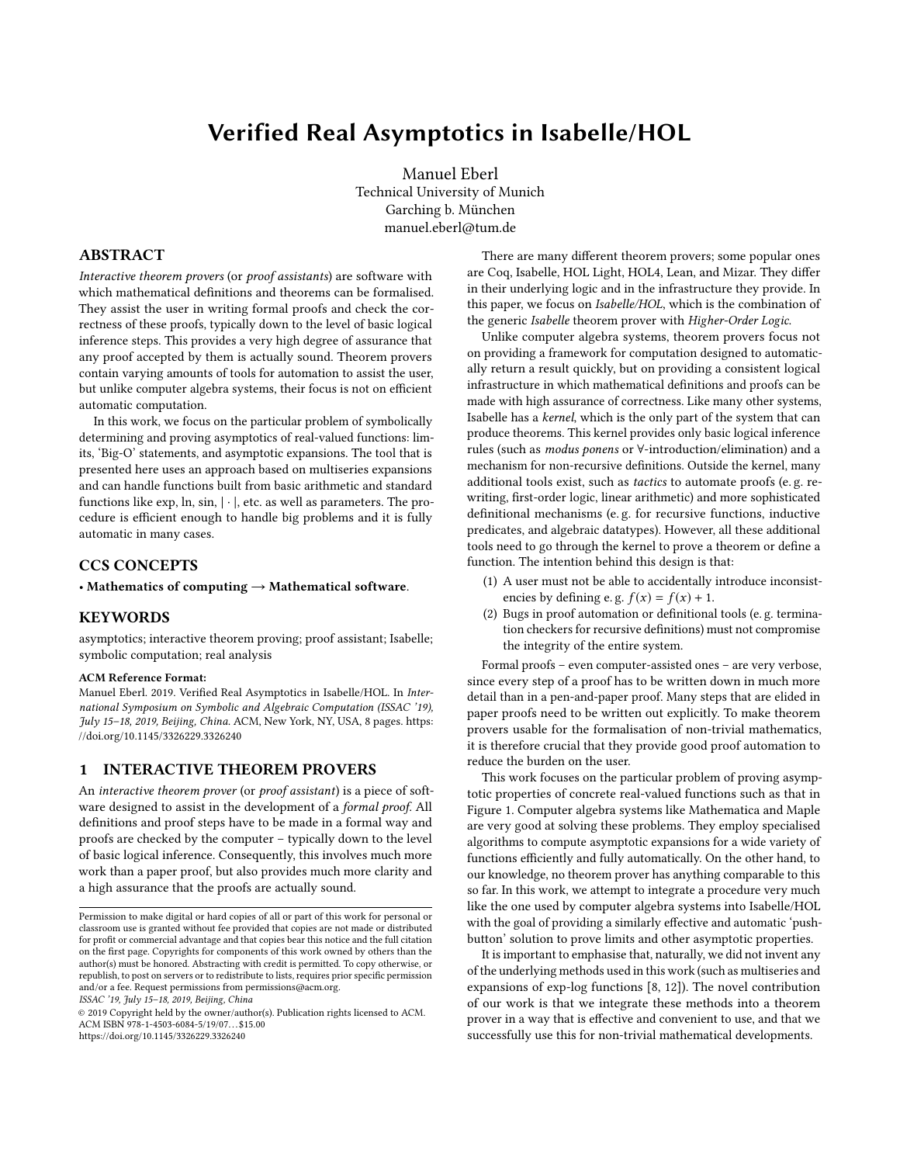# Verified Real Asymptotics in Isabelle/HOL

Manuel Eberl Technical University of Munich Garching b. München manuel.eberl@tum.de

### ABSTRACT

Interactive theorem provers (or proof assistants) are software with which mathematical definitions and theorems can be formalised. They assist the user in writing formal proofs and check the correctness of these proofs, typically down to the level of basic logical inference steps. This provides a very high degree of assurance that any proof accepted by them is actually sound. Theorem provers contain varying amounts of tools for automation to assist the user, but unlike computer algebra systems, their focus is not on efficient automatic computation.

In this work, we focus on the particular problem of symbolically determining and proving asymptotics of real-valued functions: limits, 'Big-O' statements, and asymptotic expansions. The tool that is presented here uses an approach based on multiseries expansions and can handle functions built from basic arithmetic and standard functions like exp, ln, sin,  $|\cdot|$ , etc. as well as parameters. The procedure is efficient enough to handle big problems and it is fully automatic in many cases.

## CCS CONCEPTS

• Mathematics of computing  $\rightarrow$  Mathematical software.

### KEYWORDS

asymptotics; interactive theorem proving; proof assistant; Isabelle; symbolic computation; real analysis

#### ACM Reference Format:

Manuel Eberl. 2019. Verified Real Asymptotics in Isabelle/HOL. In International Symposium on Symbolic and Algebraic Computation (ISSAC '19), July 15–18, 2019, Beijing, China. ACM, New York, NY, USA, [8](#page-7-0) pages. [https:](https://doi.org/10.1145/3326229.3326240) [//doi.org/10.1145/3326229.3326240](https://doi.org/10.1145/3326229.3326240)

## 1 INTERACTIVE THEOREM PROVERS

An interactive theorem prover (or proof assistant) is a piece of software designed to assist in the development of a formal proof. All definitions and proof steps have to be made in a formal way and proofs are checked by the computer – typically down to the level of basic logical inference. Consequently, this involves much more work than a paper proof, but also provides much more clarity and a high assurance that the proofs are actually sound.

ISSAC '19, July 15–18, 2019, Beijing, China

© 2019 Copyright held by the owner/author(s). Publication rights licensed to ACM. ACM ISBN 978-1-4503-6084-5/19/07. . . \$15.00 <https://doi.org/10.1145/3326229.3326240>

There are many different theorem provers; some popular ones are Coq, Isabelle, HOL Light, HOL4, Lean, and Mizar. They differ in their underlying logic and in the infrastructure they provide. In this paper, we focus on Isabelle/HOL, which is the combination of the generic Isabelle theorem prover with Higher-Order Logic.

Unlike computer algebra systems, theorem provers focus not on providing a framework for computation designed to automatically return a result quickly, but on providing a consistent logical infrastructure in which mathematical definitions and proofs can be made with high assurance of correctness. Like many other systems, Isabelle has a kernel, which is the only part of the system that can produce theorems. This kernel provides only basic logical inference rules (such as modus ponens or ∀-introduction/elimination) and a mechanism for non-recursive definitions. Outside the kernel, many additional tools exist, such as tactics to automate proofs (e. g. rewriting, first-order logic, linear arithmetic) and more sophisticated definitional mechanisms (e. g. for recursive functions, inductive predicates, and algebraic datatypes). However, all these additional tools need to go through the kernel to prove a theorem or define a function. The intention behind this design is that:

- (1) A user must not be able to accidentally introduce inconsistencies by defining e.g.  $f(x) = f(x) + 1$ .
- (2) Bugs in proof automation or definitional tools (e. g. termination checkers for recursive definitions) must not compromise the integrity of the entire system.

Formal proofs – even computer-assisted ones – are very verbose, since every step of a proof has to be written down in much more detail than in a pen-and-paper proof. Many steps that are elided in paper proofs need to be written out explicitly. To make theorem provers usable for the formalisation of non-trivial mathematics, it is therefore crucial that they provide good proof automation to reduce the burden on the user.

This work focuses on the particular problem of proving asymptotic properties of concrete real-valued functions such as that in Figure [1.](#page-2-0) Computer algebra systems like Mathematica and Maple are very good at solving these problems. They employ specialised algorithms to compute asymptotic expansions for a wide variety of functions efficiently and fully automatically. On the other hand, to our knowledge, no theorem prover has anything comparable to this so far. In this work, we attempt to integrate a procedure very much like the one used by computer algebra systems into Isabelle/HOL with the goal of providing a similarly effective and automatic 'pushbutton' solution to prove limits and other asymptotic properties.

It is important to emphasise that, naturally, we did not invent any of the underlying methods used in this work (such as multiseries and expansions of exp-log functions [\[8,](#page-7-1) [12\]](#page-7-2)). The novel contribution of our work is that we integrate these methods into a theorem prover in a way that is effective and convenient to use, and that we successfully use this for non-trivial mathematical developments.

Permission to make digital or hard copies of all or part of this work for personal or classroom use is granted without fee provided that copies are not made or distributed for profit or commercial advantage and that copies bear this notice and the full citation on the first page. Copyrights for components of this work owned by others than the author(s) must be honored. Abstracting with credit is permitted. To copy otherwise, or republish, to post on servers or to redistribute to lists, requires prior specific permission and/or a fee. Request permissions from permissions@acm.org.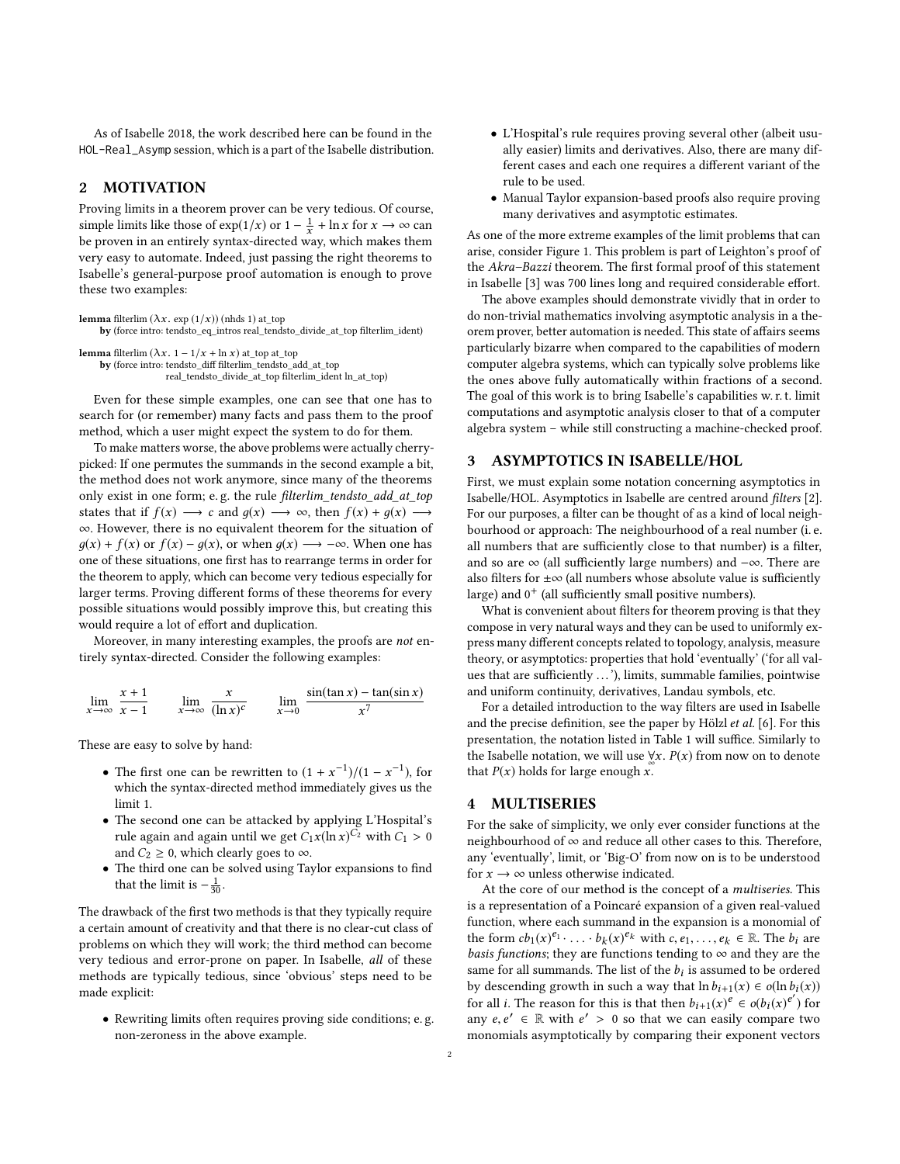As of Isabelle 2018, the work described here can be found in the HOL-Real\_Asymp session, which is a part of the Isabelle distribution.

#### 2 MOTIVATION

Proving limits in a theorem prover can be very tedious. Of course, simple limits like those of  $exp(1/x)$  or  $1 - \frac{1}{x} + \ln x$  for  $x \to \infty$  can<br>be proven in an entirely syntax-directed way which makes them be proven in an entirely syntax-directed way, which makes them very easy to automate. Indeed, just passing the right theorems to Isabelle's general-purpose proof automation is enough to prove these two examples:

```
lemma filterlim (\lambda x. \exp(1/x)) (nhds 1) at_top<br>by (force intro: tendsto_eq_intros real_tendsto_divide_at_top filterlim_ident)
lemma filterlim (\lambda x. 1 - 1/x + \ln x) at_top at_top
      by (force intro: tendsto_diff filterlim_tendsto_add_at_top
                         real_tendsto_divide_at_top filterlim_ident ln_at_top)
```
Even for these simple examples, one can see that one has to search for (or remember) many facts and pass them to the proof method, which a user might expect the system to do for them.

To make matters worse, the above problems were actually cherrypicked: If one permutes the summands in the second example a bit, the method does not work anymore, since many of the theorems only exist in one form; e.g. the rule *filterlim* tendsto add at top states that if  $f(x) \longrightarrow c$  and  $g(x) \longrightarrow \infty$ , then  $f(x) + g(x)$ ∞. However, there is no equivalent theorem for the situation of  $q(x) + f(x)$  or  $f(x) - q(x)$ , or when  $q(x) \longrightarrow -\infty$ . When one has one of these situations, one first has to rearrange terms in order for the theorem to apply, which can become very tedious especially for larger terms. Proving different forms of these theorems for every possible situations would possibly improve this, but creating this would require a lot of effort and duplication.

Moreover, in many interesting examples, the proofs are not entirely syntax-directed. Consider the following examples:

$$
\lim_{x \to \infty} \frac{x+1}{x-1} \qquad \lim_{x \to \infty} \frac{x}{(\ln x)^c} \qquad \lim_{x \to 0} \frac{\sin(\tan x) - \tan(\sin x)}{x^7}
$$

These are easy to solve by hand:

- The first one can be rewritten to  $(1 + x^{-1})/(1 x^{-1})$ , for which the syntax-directed method immediately gives us the which the syntax-directed method immediately gives us the limit 1.
- The second one can be attacked by applying L'Hospital's rule again and again until we get  $C_1x(\ln x)^{C_2}$  with  $C_1 > 0$ <br>and  $C_2 > 0$  which clearly goes to  $\infty$ and  $C_2 \geq 0$ , which clearly goes to  $\infty$ .
- The third one can be solved using Taylor expansions to find that the limit is  $-\frac{1}{30}$ .

The drawback of the first two methods is that they typically require a certain amount of creativity and that there is no clear-cut class of problems on which they will work; the third method can become very tedious and error-prone on paper. In Isabelle, all of these methods are typically tedious, since 'obvious' steps need to be made explicit:

• Rewriting limits often requires proving side conditions; e. g. non-zeroness in the above example.

- L'Hospital's rule requires proving several other (albeit usually easier) limits and derivatives. Also, there are many different cases and each one requires a different variant of the rule to be used.
- Manual Taylor expansion-based proofs also require proving many derivatives and asymptotic estimates.

As one of the more extreme examples of the limit problems that can arise, consider Figure [1.](#page-2-0) This problem is part of Leighton's proof of the Akra–Bazzi theorem. The first formal proof of this statement in Isabelle [\[3\]](#page-7-3) was 700 lines long and required considerable effort.

The above examples should demonstrate vividly that in order to do non-trivial mathematics involving asymptotic analysis in a theorem prover, better automation is needed. This state of affairs seems particularly bizarre when compared to the capabilities of modern computer algebra systems, which can typically solve problems like the ones above fully automatically within fractions of a second. The goal of this work is to bring Isabelle's capabilities w. r. t. limit computations and asymptotic analysis closer to that of a computer algebra system – while still constructing a machine-checked proof.

#### 3 ASYMPTOTICS IN ISABELLE/HOL

First, we must explain some notation concerning asymptotics in Isabelle/HOL. Asymptotics in Isabelle are centred around filters [\[2\]](#page-7-4). For our purposes, a filter can be thought of as a kind of local neighbourhood or approach: The neighbourhood of a real number (i. e. all numbers that are sufficiently close to that number) is a filter, and so are ∞ (all sufficiently large numbers) and −∞. There are also filters for  $\pm \infty$  (all numbers whose absolute value is sufficiently  $large)$  and  $0<sup>+</sup>$  (all sufficiently small positive numbers).

What is convenient about filters for theorem proving is that they compose in very natural ways and they can be used to uniformly express many different concepts related to topology, analysis, measure theory, or asymptotics: properties that hold 'eventually' ('for all values that are sufficiently . . .'), limits, summable families, pointwise and uniform continuity, derivatives, Landau symbols, etc.

For a detailed introduction to the way filters are used in Isabelle and the precise definition, see the paper by Hölzl et al. [\[6\]](#page-7-5). For this presentation, the notation listed in Table [1](#page-2-1) will suffice. Similarly to the Isabelle notation, we will use  $\forall x \cdot P(x)$  from now on to denote that  $P(x)$  holds for large enough x that  $P(x)$  holds for large enough x.

#### 4 MULTISERIES

For the sake of simplicity, we only ever consider functions at the neighbourhood of  $\infty$  and reduce all other cases to this. Therefore, any 'eventually', limit, or 'Big-O' from now on is to be understood for  $x \rightarrow \infty$  unless otherwise indicated.

At the core of our method is the concept of a multiseries. This is a representation of a Poincaré expansion of a given real-valued function, where each summand in the expansion is a monomial of the form  $cb_1(x)^{e_1} \cdot \ldots \cdot b_k(x)^{e_k}$  with  $c, e_1, \ldots, e_k \in \mathbb{R}$ . The  $b_i$  are here they are functions tending to  $\infty$  and they are the *basis functions*; they are functions tending to  $\infty$  and they are the same for all summands. The list of the  $b_i$  is assumed to be ordered<br>by descending growth in such a way that  $\ln b_i$ ,  $f(x) \in o(\ln b_i(x))$ by descending growth in such a way that  $\ln b_{i+1}(x) \in o(\ln b_i(x))$ for all *i*. The reason for this is that then  $b_{i+1}(x)^e \in o(b_i(x)^{e'})$  for any  $e, e' \in \mathbb{R}$  with  $e' > 0$  so that we can easily compare two monomials asymptotically by comparing their exponent vectors monomials asymptotically by comparing their exponent vectors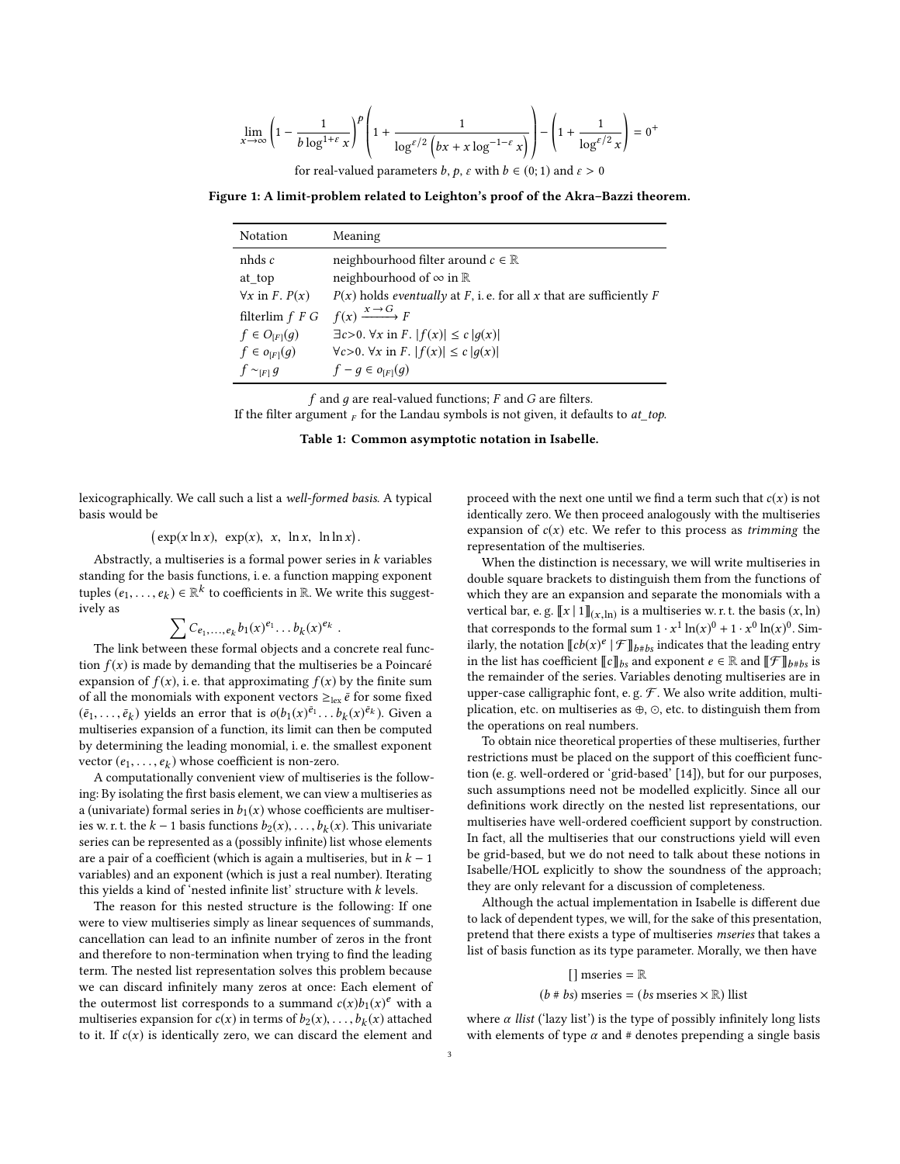$$
\lim_{x \to \infty} \left( 1 - \frac{1}{b \log^{1+\epsilon} x} \right)^p \left( 1 + \frac{1}{\log^{\epsilon/2} \left( bx + x \log^{-1-\epsilon} x \right)} \right) - \left( 1 + \frac{1}{\log^{\epsilon/2} x} \right) = 0^+
$$

for real-valued parameters b, p,  $\varepsilon$  with  $b \in (0, 1)$  and  $\varepsilon > 0$ 

<span id="page-2-1"></span><span id="page-2-0"></span>Figure 1: A limit-problem related to Leighton's proof of the Akra–Bazzi theorem.

| Notation                        | Meaning                                                               |
|---------------------------------|-----------------------------------------------------------------------|
| $nhds$ $c$                      | neighbourhood filter around $c \in \mathbb{R}$                        |
| at top                          | neighbourhood of $\infty$ in $\mathbb R$                              |
| $\forall x$ in F. $P(x)$        | $P(x)$ holds eventually at F, i. e. for all x that are sufficiently F |
| filterlim $f \nvert F \nvert G$ | $f(x) \xrightarrow{x \to G} F$                                        |
| $f \in O_{[F]}(q)$              | $\exists c>0. \forall x \text{ in } F.  f(x)  \leq c  g(x) $          |
| $f \in o_{[F]}(q)$              | $\forall c > 0$ . $\forall x$ in <i>F</i> . $ f(x)  \le c  g(x) $     |
| $f \sim_{[F]} q$                | $f - q \in o_{[F]}(q)$                                                |

f and  $q$  are real-valued functions;  $F$  and  $G$  are filters. If the filter argument  $_F$  for the Landau symbols is not given, it defaults to  $at\_top$ .

Table 1: Common asymptotic notation in Isabelle.

lexicographically. We call such a list a well-formed basis. A typical basis would be

 $(\exp(x \ln x), \exp(x), x, \ln x, \ln \ln x).$ 

Abstractly, a multiseries is a formal power series in  $k$  variables standing for the basis functions, i. e. a function mapping exponent tuples  $(e_1, \ldots, e_k) \in \mathbb{R}^k$  to coefficients in  $\mathbb{R}$ . We write this suggest-<br>ively as ively as

$$
\sum C_{e_1,\ldots,e_k} b_1(x)^{e_1} \ldots b_k(x)^{e_k}
$$

 $\sum C_{e_1,...,e_k} b_1(x)^{e_1}...b_k(x)^{e_k}$ .<br>The link between these formal objects and a concrete real function  $f(x)$  is made by demanding that the multiseries be a Poincaré expansion of  $f(x)$ , i.e. that approximating  $f(x)$  by the finite sum of all the monomials with exponent vectors  $\geq_{lex} \bar{e}$  for some fixed  $(\bar{e}_1, \ldots, \bar{e}_k)$  yields an error that is  $o(b_1(x)^{\bar{e}_1} \ldots b_k(x)^{\bar{e}_k})$ . Given a multiseries expansion of a function its limit can then be computed multiseries expansion of a function, its limit can then be computed by determining the leading monomial, i. e. the smallest exponent vector  $(e_1, \ldots, e_k)$  whose coefficient is non-zero.<br>A computationally convenient view of multise

A computationally convenient view of multiseries is the following: By isolating the first basis element, we can view a multiseries as a (univariate) formal series in  $b_1(x)$  whose coefficients are multiseries w. r. t. the  $k-1$  basis functions  $b_2(x), \ldots, b_k(x)$ . This univariate<br>series can be represented as a (possibly infinite) list whose elements series can be represented as a (possibly infinite) list whose elements are a pair of a coefficient (which is again a multiseries, but in  $k - 1$ variables) and an exponent (which is just a real number). Iterating this yields a kind of 'nested infinite list' structure with  $k$  levels.

The reason for this nested structure is the following: If one were to view multiseries simply as linear sequences of summands, cancellation can lead to an infinite number of zeros in the front and therefore to non-termination when trying to find the leading term. The nested list representation solves this problem because we can discard infinitely many zeros at once: Each element of the outermost list corresponds to a summand  $c(x)b_1(x)^e$  with a<br>multiceries expansion for  $c(x)$  in terms of  $b_2(x)$  by the strached multiseries expansion for  $c(x)$  in terms of  $b_2(x), \ldots, b_k(x)$  attached<br>to it. If  $c(x)$  is identically zero, we can discard the element and to it. If  $c(x)$  is identically zero, we can discard the element and

proceed with the next one until we find a term such that  $c(x)$  is not identically zero. We then proceed analogously with the multiseries expansion of  $c(x)$  etc. We refer to this process as trimming the representation of the multiseries.

When the distinction is necessary, we will write multiseries in double square brackets to distinguish them from the functions of which they are an expansion and separate the monomials with a vertical bar, e. g.  $\llbracket x \mid \mathbf{1} \rrbracket_{(x,\ln)}$  is a multiseries w. r. t. the basis  $(x,\ln)$ <br>that corresponds to the formal num 1,  $x^1 \ln(x)^0 + 1$ ,  $x^0 \ln(x)^0$ . Sim that corresponds to the formal sum  $1 \cdot x^1 \ln(x)^0 + 1 \cdot x^0 \ln(x)^0$ . Similarly the notation  $\mathbb{F}e^h(x)^e \mid \mathcal{F} \mathbb{I}_{\text{max}}$  indicates that the leading entry. ilarly, the notation  $[[cb(x)^e | \mathcal{F}]]_{b\#bs}$  indicates that the leading entry<br>in the list has coefficient  $[[c]]_{c}$  and exponent  $e \in \mathbb{R}$  and  $[[\mathcal{F}]]_{c}$  is in the list has coefficient  $\llbracket c \rrbracket_{bs}$  and exponent  $e \in \mathbb{R}$  and  $\llbracket \mathcal{F} \rrbracket_{b \neq bs}$  is the remainder of the series. Variables denoting multiseries are in upper-case calligraphic font, e.g.  $\mathcal F$ . We also write addition, multiplication, etc. on multiseries as ⊕, ⊙, etc. to distinguish them from the operations on real numbers.

To obtain nice theoretical properties of these multiseries, further restrictions must be placed on the support of this coefficient function (e. g. well-ordered or 'grid-based' [\[14\]](#page-7-6)), but for our purposes, such assumptions need not be modelled explicitly. Since all our definitions work directly on the nested list representations, our multiseries have well-ordered coefficient support by construction. In fact, all the multiseries that our constructions yield will even be grid-based, but we do not need to talk about these notions in Isabelle/HOL explicitly to show the soundness of the approach; they are only relevant for a discussion of completeness.

Although the actual implementation in Isabelle is different due to lack of dependent types, we will, for the sake of this presentation, pretend that there exists a type of multiseries mseries that takes a list of basis function as its type parameter. Morally, we then have

# $[$ ] mseries =  $\mathbb R$

## $(b \# bs)$  mseries =  $(bs$  mseries  $\times \mathbb{R}$ ) llist

where  $\alpha$  llist ('lazy list') is the type of possibly infinitely long lists with elements of type  $\alpha$  and # denotes prepending a single basis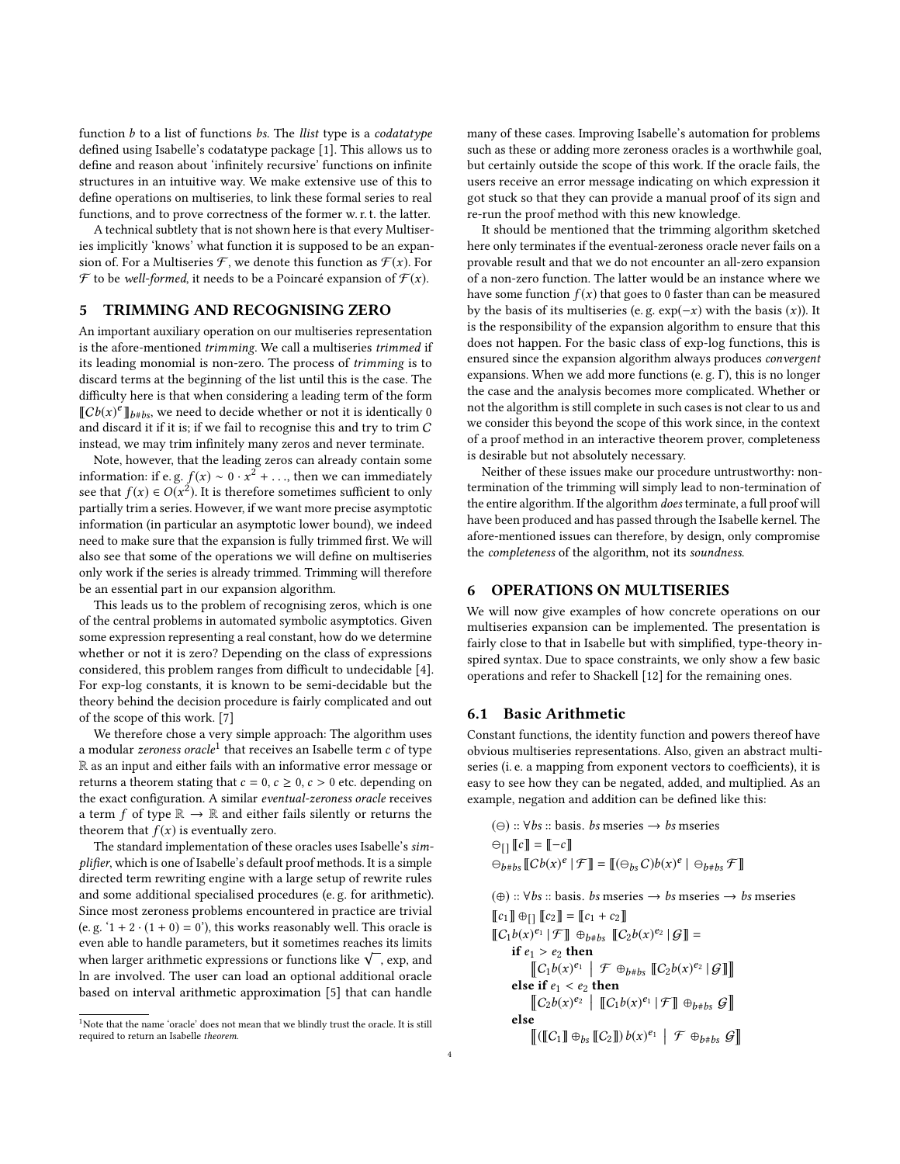function  $b$  to a list of functions  $bs$ . The *llist* type is a *codatatype* defined using Isabelle's codatatype package [\[1\]](#page-7-7). This allows us to define and reason about 'infinitely recursive' functions on infinite structures in an intuitive way. We make extensive use of this to define operations on multiseries, to link these formal series to real functions, and to prove correctness of the former w. r. t. the latter.

A technical subtlety that is not shown here is that every Multiseries implicitly 'knows' what function it is supposed to be an expansion of. For a Multiseries  $\mathcal{F}$ , we denote this function as  $\mathcal{F}(x)$ . For  $\mathcal F$  to be well-formed, it needs to be a Poincaré expansion of  $\mathcal F(x)$ .

#### 5 TRIMMING AND RECOGNISING ZERO

An important auxiliary operation on our multiseries representation is the afore-mentioned trimming. We call a multiseries trimmed if its leading monomial is non-zero. The process of trimming is to discard terms at the beginning of the list until this is the case. The difficulty here is that when considering a leading term of the form  $[[Cb(x)]^e]]_{b\#bs}$ , we need to decide whether or not it is identically 0<br>and discard it if it is: if we fail to recognise this and try to trim C and discard it if it is; if we fail to recognise this and try to trim  $C$ instead, we may trim infinitely many zeros and never terminate.

Note, however, that the leading zeros can already contain some information: if e.g.  $f(x) \sim 0 \cdot x^2 + ...$ , then we can immediately see that  $f(x) \in O(x^2)$ . It is therefore sometimes sufficient to only<br>partially trim a series. However, if we want more precise asymptotic partially trim a series. However, if we want more precise asymptotic information (in particular an asymptotic lower bound), we indeed need to make sure that the expansion is fully trimmed first. We will also see that some of the operations we will define on multiseries only work if the series is already trimmed. Trimming will therefore be an essential part in our expansion algorithm.

This leads us to the problem of recognising zeros, which is one of the central problems in automated symbolic asymptotics. Given some expression representing a real constant, how do we determine whether or not it is zero? Depending on the class of expressions considered, this problem ranges from difficult to undecidable [\[4\]](#page-7-8). For exp-log constants, it is known to be semi-decidable but the theory behind the decision procedure is fairly complicated and out of the scope of this work. [\[7\]](#page-7-9)

We therefore chose a very simple approach: The algorithm uses a modular *zeroness oracle*<sup>[1](#page-3-0)</sup> that receives an Isabelle term  $c$  of type  $\mathbb{R}$  as an input and either fails with an informative error message or R as an input and either fails with an informative error message or returns a theorem stating that  $c = 0$ ,  $c \ge 0$ ,  $c > 0$  etc. depending on the exact configuration. A similar eventual-zeroness oracle receives a term f of type  $\mathbb{R} \to \mathbb{R}$  and either fails silently or returns the theorem that  $f(x)$  is eventually zero.

The standard implementation of these oracles uses Isabelle's simplifier, which is one of Isabelle's default proof methods. It is a simple directed term rewriting engine with a large setup of rewrite rules and some additional specialised procedures (e. g. for arithmetic). Since most zeroness problems encountered in practice are trivial (e. g. '1 + 2  $\cdot$  (1 + 0) = 0'), this works reasonably well. This oracle is even able to handle parameters, but it sometimes reaches its limits even able to handle parameters, but it sometimes reaches its limits<br>when larger arithmetic expressions or functions like  $\sqrt{\ }$  exp. and ln are involved. The user can load an optional additional oracle based on interval arithmetic approximation [\[5\]](#page-7-10) that can handle

many of these cases. Improving Isabelle's automation for problems such as these or adding more zeroness oracles is a worthwhile goal, but certainly outside the scope of this work. If the oracle fails, the users receive an error message indicating on which expression it got stuck so that they can provide a manual proof of its sign and re-run the proof method with this new knowledge.

It should be mentioned that the trimming algorithm sketched here only terminates if the eventual-zeroness oracle never fails on a provable result and that we do not encounter an all-zero expansion of a non-zero function. The latter would be an instance where we have some function  $f(x)$  that goes to 0 faster than can be measured by the basis of its multiseries (e.g.  $exp(-x)$  with the basis  $(x)$ ). It is the responsibility of the expansion algorithm to ensure that this does not happen. For the basic class of exp-log functions, this is ensured since the expansion algorithm always produces convergent expansions. When we add more functions (e. g. Γ), this is no longer the case and the analysis becomes more complicated. Whether or not the algorithm is still complete in such cases is not clear to us and we consider this beyond the scope of this work since, in the context of a proof method in an interactive theorem prover, completeness is desirable but not absolutely necessary.

Neither of these issues make our procedure untrustworthy: nontermination of the trimming will simply lead to non-termination of the entire algorithm. If the algorithm does terminate, a full proof will have been produced and has passed through the Isabelle kernel. The afore-mentioned issues can therefore, by design, only compromise the completeness of the algorithm, not its soundness.

## 6 OPERATIONS ON MULTISERIES

We will now give examples of how concrete operations on our multiseries expansion can be implemented. The presentation is fairly close to that in Isabelle but with simplified, type-theory inspired syntax. Due to space constraints, we only show a few basic operations and refer to Shackell [\[12\]](#page-7-2) for the remaining ones.

#### 6.1 Basic Arithmetic

Constant functions, the identity function and powers thereof have obvious multiseries representations. Also, given an abstract multiseries (i. e. a mapping from exponent vectors to coefficients), it is easy to see how they can be negated, added, and multiplied. As an example, negation and addition can be defined like this:

\n- (
$$
\Theta
$$
):  $\forall bs$  :: basis.  $bs$  mseries  $\rightarrow bs$  mseries
\n- $\Theta_{[]}$   $[\![c]\!] = [\![-c]\!]$
\n- $\Theta_{b\#bs}$   $[\![Cb(x)^e \mid \mathcal{F}]\!] = [\![(\Theta_{bs}C)b(x)^e \mid \Theta_{b\#bs} \mathcal{F}]\!]$
\n- ( $\oplus$ ):  $\forall bs$  :: basis.  $bs$  mseries  $\rightarrow bs$  mseries  $\rightarrow bs$  mseries
\n- $[\![c_1]\!]$   $\oplus_{[]}$   $[\![c_2]\!] = [\![c_1 + c_2]\!]$
\n- $[\![C_1b(x)^{e_1} \mid \mathcal{F}]\!]$   $\oplus_{b\#bs}$   $[\![C_2b(x)^{e_2} \mid \mathcal{G}]\!]$  =
\n- $\text{if } e_1 > e_2$  then
\n- $[\![C_1b(x)^{e_1} \mid \mathcal{F} \oplus_{b\#bs} [\![C_2b(x)^{e_2} \mid \mathcal{G}]\!]$
\n- $\text{else if } e_1 < e_2$  then
\n- $[\![C_2b(x)^{e_2} \mid [\![C_1b(x)^{e_1} \mid \mathcal{F}]\!]$   $\oplus_{b\#bs} \mathcal{G}\!]$
\n- $\text{else}$
\n- $[\![([\![C_1]\!]$   $\oplus_{bs}$   $[\![C_2]\!]$   $b(x)^{e_1} \mid \mathcal{F} \oplus_{b\#bs} \mathcal{G}\!]$
\n

<span id="page-3-0"></span><sup>&</sup>lt;sup>1</sup>Note that the name 'oracle' does not mean that we blindly trust the oracle. It is still required to return an Isabelle theorem.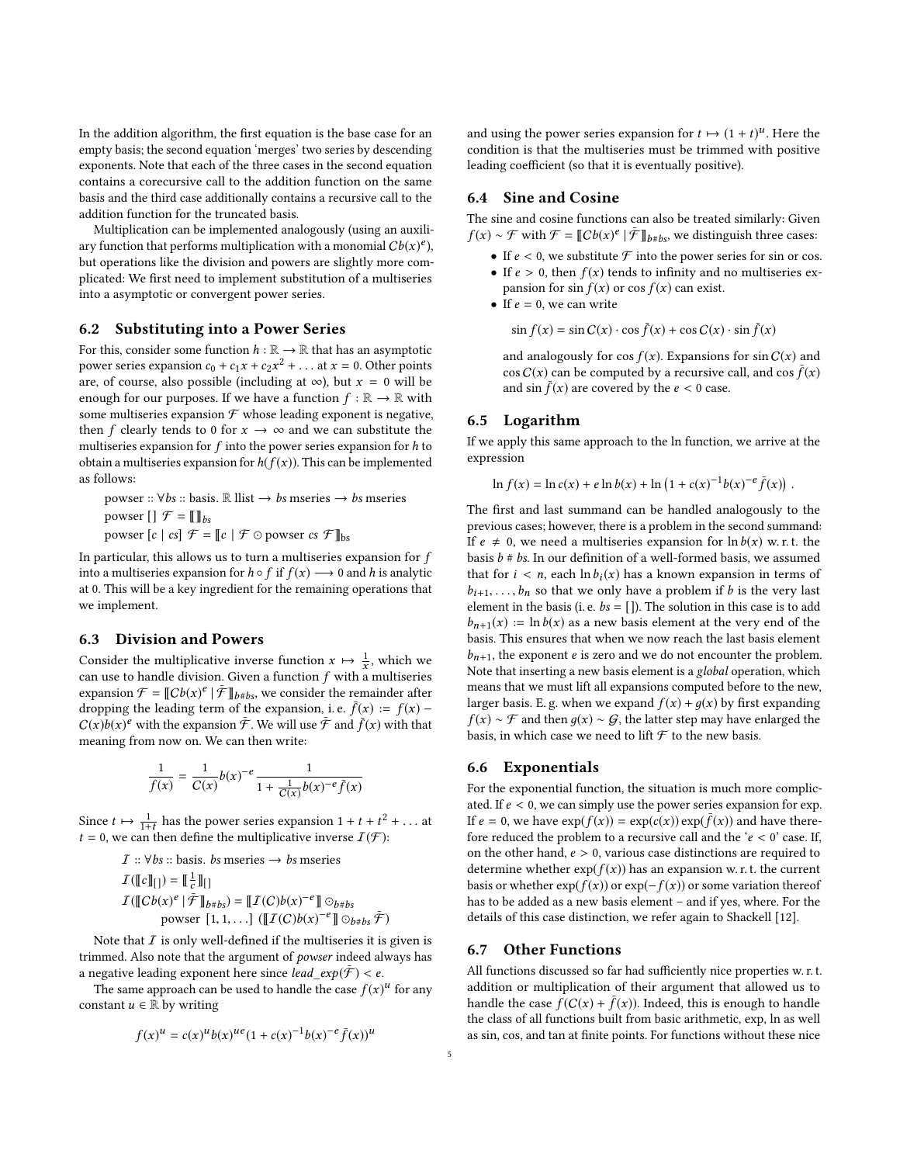In the addition algorithm, the first equation is the base case for an empty basis; the second equation 'merges' two series by descending exponents. Note that each of the three cases in the second equation contains a corecursive call to the addition function on the same basis and the third case additionally contains a recursive call to the addition function for the truncated basis.

Multiplication can be implemented analogously (using an auxiliary function that performs multiplication with a monomial  $Cb(x)^e$ ),<br>but operations like the division and powers are slightly more combut operations like the division and powers are slightly more complicated: We first need to implement substitution of a multiseries into a asymptotic or convergent power series.

#### 6.2 Substituting into a Power Series

For this, consider some function  $h:\mathbb{R}\rightarrow\mathbb{R}$  that has an asymptotic power series expansion  $c_0 + c_1x + c_2x^2 + ...$  at  $x = 0$ . Other points are, of course, also possible (including at  $\infty$ ), but  $x = 0$  will be enough for our purposes. If we have a function  $f : \mathbb{R} \to \mathbb{R}$  with some multiseries expansion  $\mathcal F$  whose leading exponent is negative, then f clearly tends to 0 for  $x \to \infty$  and we can substitute the multiseries expansion for  $f$  into the power series expansion for  $h$  to obtain a multiseries expansion for  $h(f(x))$ . This can be implemented as follows:

powser ::  $\forall bs$  :: basis. R llist  $\rightarrow bs$  mseries  $\rightarrow bs$  mseries powser  $[\ ] \mathcal{F} = \mathbb{I} \mathbb{I}_{bs}$ powser  $[c \mid cs]$   $\mathcal{F} = [c \mid \mathcal{F} \odot \text{power } cs \mid \mathcal{F}]_{bs}$ 

In particular, this allows us to turn a multiseries expansion for  $f$ into a multiseries expansion for  $h \circ f$  if  $f(x) \rightarrow 0$  and h is analytic at 0. This will be a key ingredient for the remaining operations that we implement.

#### 6.3 Division and Powers

Consider the multiplicative inverse function  $x \mapsto \frac{1}{x}$ , which we<br>can use to handle division. Given a function f with a multiseries can use to handle division. Given a function f with a multiseries<br>expansion  $\mathcal{F} = \mathbb{E} C h(x)^e \mid \mathcal{F} \mathbb{I}_{x+1}$ , we consider the remainder ofter expansion  $\mathcal{F} = \mathbb{E}(Cb(x)^e | \bar{\mathcal{F}}]_{b\#bs}$ , we consider the remainder after<br>dropping the leading term of the expansion i.e.  $\bar{f}(x) = f(x)$ . dropping the leading term of the expansion, i.e.  $\bar{f}(x) := f(x) C(x)b(x)e^x$  with the expansion  $\tilde{\mathcal{F}}$ . We will use  $\tilde{\mathcal{F}}$  and  $\tilde{f}(x)$  with that  $\tilde{f}$  meaning from now on We can then write: meaning from now on. We can then write:

$$
\frac{1}{f(x)} = \frac{1}{C(x)}b(x)^{-e} \frac{1}{1 + \frac{1}{C(x)}b(x)^{-e}\bar{f}(x)}
$$

Since  $t \mapsto \frac{1}{1+t}$  has the power series expansion  $1 + t + t^2 + ...$  at  $t = 0$ , we can then define the multiplicative inverse  $\mathcal{T}(\mathcal{F})$ :  $t = 0$ , we can then define the multiplicative inverse  $\mathcal{I}(\mathcal{F})$ :

*I* :: 
$$
\forall bs
$$
 :: basis. *bs* mseries  $\rightarrow bs$  mseries  
\n
$$
I([\![c]\!]_[]) = [\![\frac{1}{c}]\!]_[]
$$
\n
$$
I([\![Cb(x)^e \mid \bar{\mathcal{F}}]\!]_{b\#bs}) = [\![I(C)b(x)^{-e}]\!] \odot_{b\#bs}
$$
\n
$$
\text{power } [1, 1, \ldots] ([\![I(C)b(x)^{-e}]\!] \odot_{b\#bs} \bar{\mathcal{F}})
$$

Note that  $I$  is only well-defined if the multiseries it is given is trimmed. Also note that the argument of powser indeed always has a negative leading exponent here since *lead\_exp* $(\bar{\mathcal{F}}) < e$ .

The same approach can be used to handle the case  $f(x)^u$  for any actant  $u \in \mathbb{R}$  by writing constant  $u \in \mathbb{R}$  by writing

$$
f(x)^u = c(x)^u b(x)^{u e} (1 + c(x)^{-1} b(x)^{-e} \bar{f}(x))^u
$$

and using the power series expansion for  $t \mapsto (1 + t)^u$ . Here the condition is that the multiseries must be trimmed with positive condition is that the multiseries must be trimmed with positive leading coefficient (so that it is eventually positive).

### 6.4 Sine and Cosine

The sine and cosine functions can also be treated similarly: Given f(x) ∼ F with  $\mathcal{F} = \llbracket Cb(x)^e \mid \mathcal{F} \rrbracket_{b \neq b}$ , we distinguish three cases:

- If  $e < 0$ , we substitute  $\mathcal F$  into the power series for sin or cos.
- If  $e > 0$ , then  $f(x)$  tends to infinity and no multiseries expansion for sin  $f(x)$  or cos  $f(x)$  can exist.
- If  $e = 0$ , we can write

 $\sin f(x) = \sin C(x) \cdot \cos \bar{f}(x) + \cos C(x) \cdot \sin \bar{f}(x)$ 

and analogously for cos  $f(x)$ . Expansions for sin  $C(x)$  and  $\cos C(x)$  can be computed by a recursive call, and  $\cos \bar{f}(x)$ and sin  $\bar{f}(x)$  are covered by the  $e < 0$  case.

## 6.5 Logarithm

If we apply this same approach to the ln function, we arrive at the expression

$$
\ln f(x) = \ln c(x) + e \ln b(x) + \ln (1 + c(x)^{-1}b(x)^{-e}\bar{f}(x))
$$

The first and last summand can be handled analogously to the previous cases; however, there is a problem in the second summand: If  $e \neq 0$ , we need a multiseries expansion for  $\ln b(x)$  w. r. t. the basis  $b \# bs$ . In our definition of a well-formed basis, we assumed that for  $i < n$ , each  $\ln b_i(x)$  has a known expansion in terms of  $b_{i+1}, \ldots, b_n$  so that we only have a problem if b is the very last element in the basis (i. e.  $bs = []$ ). The solution in this case is to add  $b_{n+1}(x) := \ln b(x)$  as a new basis element at the very end of the basis. This ensures that when we now reach the last basis element  $b_{n+1}$ , the exponent e is zero and we do not encounter the problem. Note that inserting a new basis element is a global operation, which means that we must lift all expansions computed before to the new, larger basis. E. g. when we expand  $f(x) + g(x)$  by first expanding  $f(x) \sim \mathcal{F}$  and then  $g(x) \sim \mathcal{G}$ , the latter step may have enlarged the basis, in which case we need to lift  $\mathcal F$  to the new basis.

#### 6.6 Exponentials

For the exponential function, the situation is much more complicated. If  $e < 0$ , we can simply use the power series expansion for exp. If  $e = 0$ , we have  $exp(f(x)) = exp(c(x)) exp(\overline{f}(x))$  and have there-<br>fore reduced the problem to a recursive call and the 'e  $\leq 0$ ' case. If fore reduced the problem to a recursive call and the ' $e < 0$ ' case. If, on the other hand,  $e > 0$ , various case distinctions are required to determine whether  $exp(f(x))$  has an expansion w.r.t. the current basis or whether  $exp(f(x))$  or  $exp(-f(x))$  or some variation thereof has to be added as a new basis element – and if yes, where. For the details of this case distinction, we refer again to Shackell [\[12\]](#page-7-2).

#### 6.7 Other Functions

All functions discussed so far had sufficiently nice properties w. r. t. addition or multiplication of their argument that allowed us to handle the case  $f(C(x) + \bar{f}(x))$ . Indeed, this is enough to handle the class of all functions built from basic arithmetic, exp, ln as well as sin, cos, and tan at finite points. For functions without these nice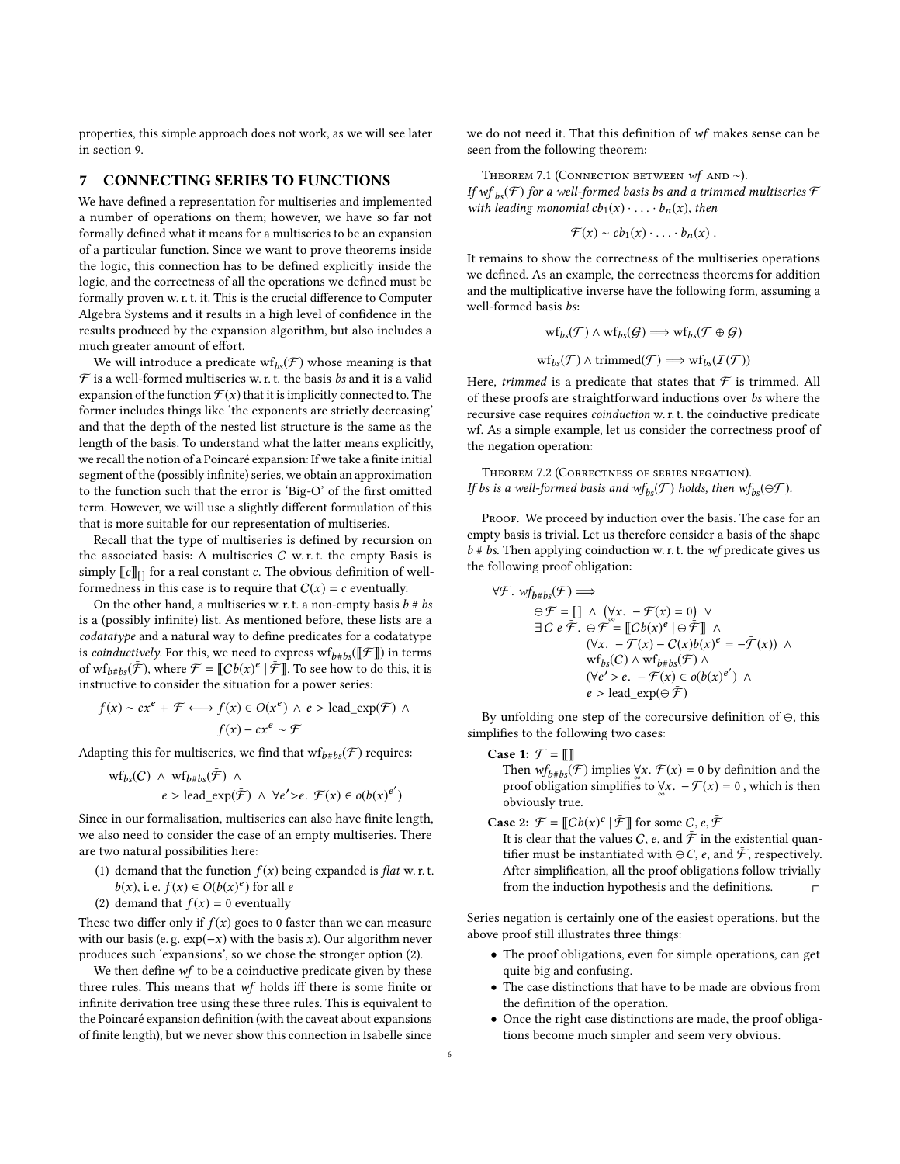properties, this simple approach does not work, as we will see later in section [9.](#page-6-0)

### 7 CONNECTING SERIES TO FUNCTIONS

We have defined a representation for multiseries and implemented a number of operations on them; however, we have so far not formally defined what it means for a multiseries to be an expansion of a particular function. Since we want to prove theorems inside the logic, this connection has to be defined explicitly inside the logic, and the correctness of all the operations we defined must be formally proven w. r. t. it. This is the crucial difference to Computer Algebra Systems and it results in a high level of confidence in the results produced by the expansion algorithm, but also includes a much greater amount of effort.

We will introduce a predicate  $\text{wf}_{bs}(\mathcal{F})$  whose meaning is that  ${\mathcal F}$  is a well-formed multiseries w.r.t. the basis  $bs$  and it is a valid expansion of the function  $\mathcal{F}(x)$  that it is implicitly connected to. The former includes things like 'the exponents are strictly decreasing' and that the depth of the nested list structure is the same as the length of the basis. To understand what the latter means explicitly, we recall the notion of a Poincaré expansion: If we take a finite initial segment of the (possibly infinite) series, we obtain an approximation to the function such that the error is 'Big-O' of the first omitted term. However, we will use a slightly different formulation of this that is more suitable for our representation of multiseries.

Recall that the type of multiseries is defined by recursion on the associated basis: A multiseries  $C$  w.r.t. the empty Basis is simply  $\llbracket c \rrbracket_{\Box}$  for a real constant c. The obvious definition of wellformedness in this case is to require that  $C(x) = c$  eventually.

On the other hand, a multiseries w. r. t. a non-empty basis  $b * bs$ is a (possibly infinite) list. As mentioned before, these lists are a codatatype and a natural way to define predicates for a codatatype is coinductively. For this, we need to express  $\text{wf}_{b\#bs}(\llbracket \mathcal{F} \rrbracket)$  in terms  $\int \cot w f_{b} d\phi_s(\vec{r})$ , where  $\vec{r} = \left[ Cb(x)^e \mid \vec{r} \right]$ . To see how to do this, it is instructive to consider the situation for a power series. instructive to consider the situation for a power series:

$$
f(x) \sim cx^{e} + \mathcal{F} \longleftrightarrow f(x) \in O(x^{e}) \land e > lead\_exp(\mathcal{F}) \land
$$

$$
f(x) - cx^{e} \sim \mathcal{F}
$$

Adapting this for multiseries, we find that  $\text{wf}_{b\#bs}(\mathcal{F})$  requires:

$$
wf_{bs}(C) \wedge wf_{b\#bs}(\overline{\mathcal{F}}) \wedge \newline e > lead\_exp(\overline{\mathcal{F}}) \wedge \forall e' > e. \ \mathcal{F}(x) \in o(b(x)^{e'})
$$

Since in our formalisation, multiseries can also have finite length, we also need to consider the case of an empty multiseries. There are two natural possibilities here:

- (1) demand that the function  $f(x)$  being expanded is flat w.r.t.  $b(x)$ , i.e.  $f(x) \in O(b(x)^e)$  for all example that  $f(x) = 0$  eventually
- (2) demand that  $f(x) = 0$  eventually

These two differ only if  $f(x)$  goes to 0 faster than we can measure with our basis (e. g. exp( $-x$ ) with the basis x). Our algorithm never produces such 'expansions', so we chose the stronger option (2).

We then define  $wf$  to be a coinductive predicate given by these three rules. This means that wf holds iff there is some finite or infinite derivation tree using these three rules. This is equivalent to the Poincaré expansion definition (with the caveat about expansions of finite length), but we never show this connection in Isabelle since we do not need it. That this definition of wf makes sense can be seen from the following theorem:

THEOREM 7.1 (CONNECTION BETWEEN  $wf$  AND ~). If wf  $_{bs}(\mathcal{F})$  for a well-formed basis bs and a trimmed multiseries  $\mathcal F$ with leading monomial  $cb_1(x) \cdot \ldots \cdot b_n(x)$ , then

$$
\mathcal{F}(x) \sim cb_1(x) \cdot \ldots \cdot b_n(x) \ .
$$

It remains to show the correctness of the multiseries operations we defined. As an example, the correctness theorems for addition and the multiplicative inverse have the following form, assuming a well-formed basis bs:

$$
wf_{bs}(\mathcal{F}) \wedge wf_{bs}(\mathcal{G}) \Longrightarrow wf_{bs}(\mathcal{F} \oplus \mathcal{G})
$$
  

$$
wf_{bs}(\mathcal{F}) \wedge trimmed(\mathcal{F}) \Longrightarrow wf_{bs}(I(\mathcal{F}))
$$

Here, trimmed is a predicate that states that  $\mathcal F$  is trimmed. All of these proofs are straightforward inductions over bs where the recursive case requires coinduction w. r. t. the coinductive predicate wf. As a simple example, let us consider the correctness proof of the negation operation:

Theorem 7.2 (Correctness of series negation). If bs is a well-formed basis and wf<sub>bs</sub>( $\mathcal{F}$ ) holds, then wf<sub>bs</sub>( $\ominus\mathcal{F}$ ).

PROOF. We proceed by induction over the basis. The case for an empty basis is trivial. Let us therefore consider a basis of the shape  $b \# bs$ . Then applying coinduction w. r. t. the wf predicate gives us the following proof obligation:

$$
\forall \mathcal{F}. \text{ wf}_{b \# bs}(\mathcal{F}) \Longrightarrow
$$
  
\n
$$
\ominus \mathcal{F} = [] \land (\forall x. -\mathcal{F}(x) = 0) \lor
$$
  
\n
$$
\exists C \ e \ \mathcal{F}. \ \ominus \mathcal{F} = [[Cb(x)^{e} | \ominus \mathcal{F}]] \land
$$
  
\n
$$
(\forall x. -\mathcal{F}(x) - C(x)b(x)^{e} = -\mathcal{F}(x)) \land
$$
  
\n
$$
\text{wf}_{bs}(C) \land \text{wf}_{b \# bs}(\mathcal{F}) \land
$$
  
\n
$$
(\forall e' > e. -\mathcal{F}(x) \in o(b(x)^{e'}) \land
$$
  
\n
$$
e > \text{lead} \exp(\ominus \mathcal{F})
$$

By unfolding one step of the corecursive definition of ⊖, this simplifies to the following two cases:

#### Case 1:  $\mathcal{F} = \mathbb{I}$

Then  $wf_{b\#bs}(\mathcal{F})$  implies  $\forall x$ .  $\mathcal{F}(x) = 0$  by definition and the proof obligation simplifies to  $\forall x \in \mathcal{F}(x) = 0$ , which is then proof obligation simplifies to  $\forall x$ .  $-\mathcal{F}(x) = 0$ , which is then obviously true obviously true.

**Case 2:**  $\mathcal{F} = [Cb(x)^e | \bar{\mathcal{F}}]$  for some  $C, e, \bar{\mathcal{F}}$ <br>It is clear that the values  $C, e$  and  $\bar{\mathcal{F}}$  in the

It is clear that the values C, e, and  $\bar{\mathcal{F}}$  in the existential quantifier must be instantiated with ⊖  $C$ ,  $e$ , and  $\bar{\mathcal{F}}$ , respectively. After simplification, all the proof obligations follow trivially from the induction hypothesis and the definitions.  $□$ 

Series negation is certainly one of the easiest operations, but the above proof still illustrates three things:

- The proof obligations, even for simple operations, can get quite big and confusing.
- The case distinctions that have to be made are obvious from the definition of the operation.
- Once the right case distinctions are made, the proof obligations become much simpler and seem very obvious.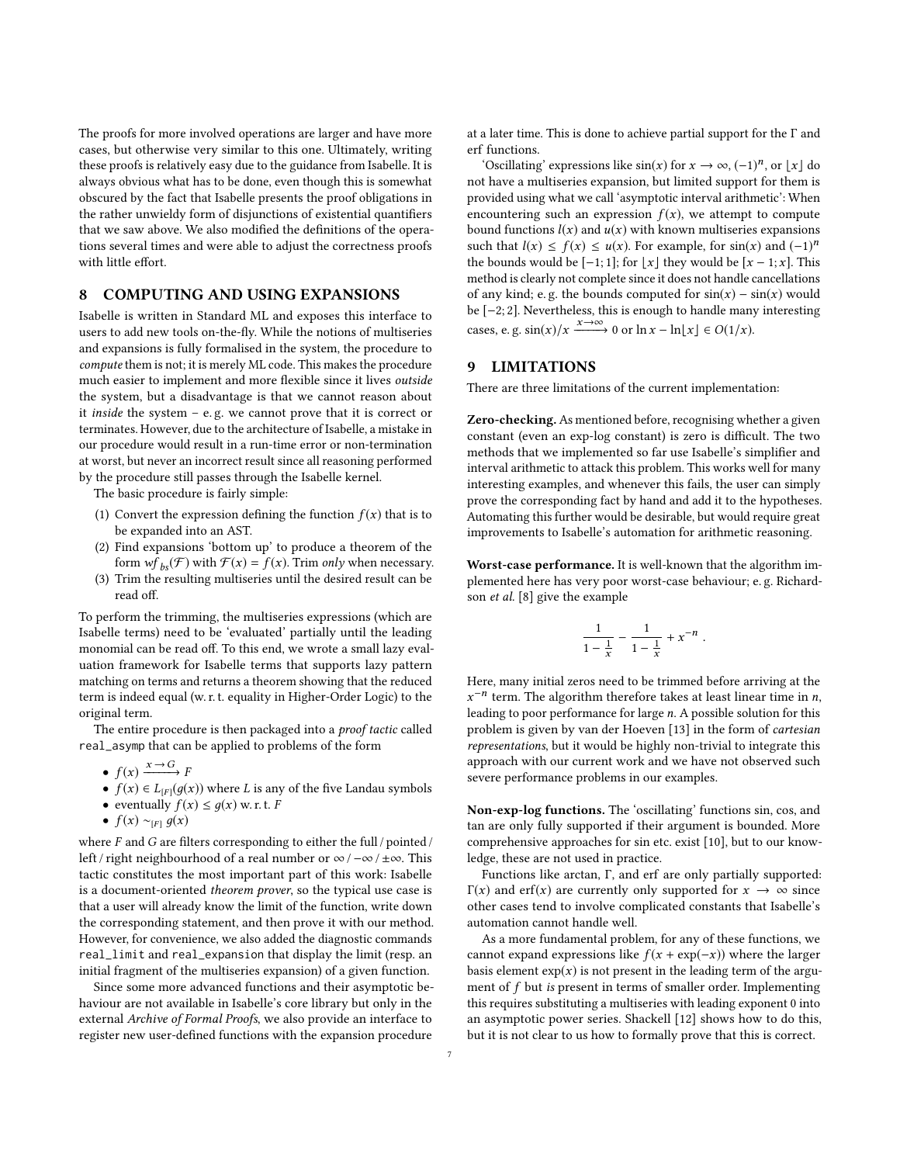The proofs for more involved operations are larger and have more cases, but otherwise very similar to this one. Ultimately, writing these proofs is relatively easy due to the guidance from Isabelle. It is always obvious what has to be done, even though this is somewhat obscured by the fact that Isabelle presents the proof obligations in the rather unwieldy form of disjunctions of existential quantifiers that we saw above. We also modified the definitions of the operations several times and were able to adjust the correctness proofs with little effort.

## 8 COMPUTING AND USING EXPANSIONS

Isabelle is written in Standard ML and exposes this interface to users to add new tools on-the-fly. While the notions of multiseries and expansions is fully formalised in the system, the procedure to compute them is not; it is merely ML code. This makes the procedure much easier to implement and more flexible since it lives outside the system, but a disadvantage is that we cannot reason about it inside the system – e. g. we cannot prove that it is correct or terminates. However, due to the architecture of Isabelle, a mistake in our procedure would result in a run-time error or non-termination at worst, but never an incorrect result since all reasoning performed by the procedure still passes through the Isabelle kernel.

The basic procedure is fairly simple:

- (1) Convert the expression defining the function  $f(x)$  that is to be expanded into an AST.
- (2) Find expansions 'bottom up' to produce a theorem of the form  $wf_{bs}(\mathcal{F})$  with  $\mathcal{F}(x) = f(x)$ . Trim only when necessary.
- (3) Trim the resulting multiseries until the desired result can be read off.

To perform the trimming, the multiseries expressions (which are Isabelle terms) need to be 'evaluated' partially until the leading monomial can be read off. To this end, we wrote a small lazy evaluation framework for Isabelle terms that supports lazy pattern matching on terms and returns a theorem showing that the reduced term is indeed equal (w. r. t. equality in Higher-Order Logic) to the original term.

The entire procedure is then packaged into a *proof tactic* called real\_asymp that can be applied to problems of the form

- $f(x) \xrightarrow{x \to G} F$ <br>•  $f(x) \in I_{\infty}(g)$
- $f(x) \in L_{[F]}(g(x))$  where L is any of the five Landau symbols
- eventually  $f(x) \le g(x)$  w. r. t. F
- $f(x) \sim_{[F]} g(x)$

where  $F$  and  $G$  are filters corresponding to either the full  $/$  pointed  $/$ left / right neighbourhood of a real number or  $\infty$  /  $-\infty$  /  $\pm\infty$ . This tactic constitutes the most important part of this work: Isabelle is a document-oriented theorem prover, so the typical use case is that a user will already know the limit of the function, write down the corresponding statement, and then prove it with our method. However, for convenience, we also added the diagnostic commands real\_limit and real\_expansion that display the limit (resp. an initial fragment of the multiseries expansion) of a given function.

Since some more advanced functions and their asymptotic behaviour are not available in Isabelle's core library but only in the external Archive of Formal Proofs, we also provide an interface to register new user-defined functions with the expansion procedure

at a later time. This is done to achieve partial support for the Γ and erf functions.

'Oscillating' expressions like  $sin(x)$  for  $x \to \infty$ ,  $(-1)^n$ , or  $\lfloor x \rfloor$  do the product to multiseries expansion but limited support for them is not have a multiseries expansion, but limited support for them is provided using what we call 'asymptotic interval arithmetic': When encountering such an expression  $f(x)$ , we attempt to compute bound functions  $l(x)$  and  $u(x)$  with known multiseries expansions such that  $l(x) \le f(x) \le u(x)$ . For example, for  $\sin(x)$  and  $(-1)^n$ <br>the bounds would be  $[-1:1]$  for  $|x|$  they would be  $[x - 1: x]$ . This the bounds would be  $[-1; 1]$ ; for  $\lfloor x \rfloor$  they would be  $\lfloor x - 1; x \rfloor$ . This method is clearly not complete since it does not handle cancellations of any kind; e.g. the bounds computed for  $sin(x) - sin(x)$  would be [−2; 2]. Nevertheless, this is enough to handle many interesting cases, e.g.  $\sin(x)/x \xrightarrow{x \to \infty} 0$  or  $\ln x - \ln[x] \in O(1/x)$ .

#### <span id="page-6-0"></span>9 LIMITATIONS

There are three limitations of the current implementation:

Zero-checking. As mentioned before, recognising whether a given constant (even an exp-log constant) is zero is difficult. The two methods that we implemented so far use Isabelle's simplifier and interval arithmetic to attack this problem. This works well for many interesting examples, and whenever this fails, the user can simply prove the corresponding fact by hand and add it to the hypotheses. Automating this further would be desirable, but would require great improvements to Isabelle's automation for arithmetic reasoning.

Worst-case performance. It is well-known that the algorithm implemented here has very poor worst-case behaviour; e. g. Richardson et al. [\[8\]](#page-7-1) give the example

$$
\frac{1}{1-\frac{1}{x}}-\frac{1}{1-\frac{1}{x}}+x^{-n}.
$$

Here, many initial zeros need to be trimmed before arriving at the ...<br>leading to poor performance for large *n*. A possible solution for this<br>problem is given by van der Hoeven [13] in the form of *cartesian*  $-\frac{n}{n}$  term. The algorithm therefore takes at least linear time in *n*, problem is given by van der Hoeven [\[13\]](#page-7-11) in the form of cartesian representations, but it would be highly non-trivial to integrate this approach with our current work and we have not observed such severe performance problems in our examples.

Non-exp-log functions. The 'oscillating' functions sin, cos, and tan are only fully supported if their argument is bounded. More comprehensive approaches for sin etc. exist [\[10\]](#page-7-12), but to our knowledge, these are not used in practice.

Functions like arctan, Γ, and erf are only partially supported:  $\Gamma(x)$  and erf(x) are currently only supported for  $x \to \infty$  since other cases tend to involve complicated constants that Isabelle's automation cannot handle well.

As a more fundamental problem, for any of these functions, we cannot expand expressions like  $f(x + \exp(-x))$  where the larger basis element  $exp(x)$  is not present in the leading term of the argument of  $f$  but is present in terms of smaller order. Implementing this requires substituting a multiseries with leading exponent 0 into an asymptotic power series. Shackell [\[12\]](#page-7-2) shows how to do this, but it is not clear to us how to formally prove that this is correct.